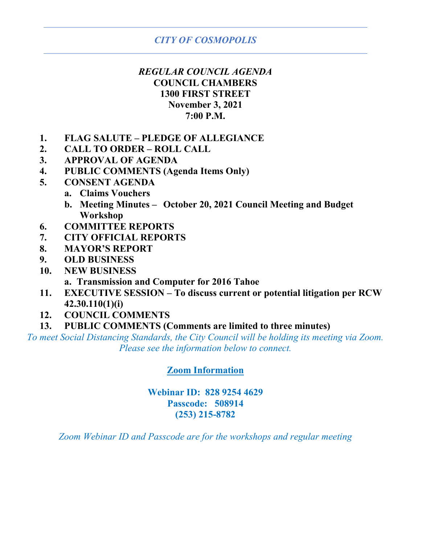# *CITY OF COSMOPOLIS*

# *REGULAR COUNCIL AGENDA* **COUNCIL CHAMBERS 1300 FIRST STREET November 3, 2021 7:00 P.M.**

- **1. FLAG SALUTE – PLEDGE OF ALLEGIANCE**
- **2. CALL TO ORDER – ROLL CALL**
- **3. APPROVAL OF AGENDA**
- **4. PUBLIC COMMENTS (Agenda Items Only)**
- **5. CONSENT AGENDA**
	- **a. Claims Vouchers**
	- **b. Meeting Minutes – October 20, 2021 Council Meeting and Budget Workshop**
- **6. COMMITTEE REPORTS**
- **7. CITY OFFICIAL REPORTS**
- **8. MAYOR'S REPORT**
- **9. OLD BUSINESS**
- **10. NEW BUSINESS**

**a. Transmission and Computer for 2016 Tahoe**

- **11. EXECUTIVE SESSION – To discuss current or potential litigation per RCW 42.30.110(1)(i)**
- **12. COUNCIL COMMENTS**
- **13. PUBLIC COMMENTS (Comments are limited to three minutes)**

*To meet Social Distancing Standards, the City Council will be holding its meeting via Zoom. Please see the information below to connect.*

## **Zoom Information**

## **Webinar ID: 828 9254 4629 Passcode: 508914 (253) 215-8782**

*Zoom Webinar ID and Passcode are for the workshops and regular meeting*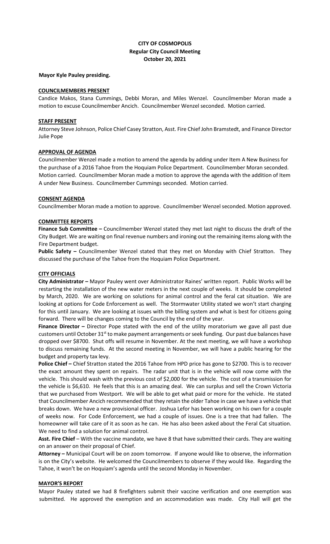## **CITY OF COSMOPOLIS Regular City Council Meeting October 20, 2021**

#### **Mayor Kyle Pauley presiding.**

#### **COUNCILMEMBERS PRESENT**

Candice Makos, Stana Cummings, Debbi Moran, and Miles Wenzel. Councilmember Moran made a motion to excuse Councilmember Ancich. Councilmember Wenzel seconded. Motion carried.

#### **STAFF PRESENT**

Attorney Steve Johnson, Police Chief Casey Stratton, Asst. Fire Chief John Bramstedt, and Finance Director Julie Pope

#### **APPROVAL OF AGENDA**

Councilmember Wenzel made a motion to amend the agenda by adding under Item A New Business for the purchase of a 2016 Tahoe from the Hoquiam Police Department. Councilmember Moran seconded. Motion carried. Councilmember Moran made a motion to approve the agenda with the addition of Item A under New Business. Councilmember Cummings seconded. Motion carried.

#### **CONSENT AGENDA**

Councilmember Moran made a motion to approve. Councilmember Wenzel seconded. Motion approved.

#### **COMMITTEE REPORTS**

**Finance Sub Committee –** Councilmember Wenzel stated they met last night to discuss the draft of the City Budget. We are waiting on final revenue numbers and ironing out the remaining items along with the Fire Department budget.

**Public Safety –** Councilmember Wenzel stated that they met on Monday with Chief Stratton. They discussed the purchase of the Tahoe from the Hoquiam Police Department.

### **CITY OFFICIALS**

**City Administrator –** Mayor Pauley went over Administrator Raines' written report. Public Works will be restarting the installation of the new water meters in the next couple of weeks. It should be completed by March, 2020. We are working on solutions for animal control and the feral cat situation. We are looking at options for Code Enforcement as well. The Stormwater Utility stated we won't start charging for this until January. We are looking at issues with the billing system and what is best for citizens going forward. There will be changes coming to the Council by the end of the year.

**Finance Director –** Director Pope stated with the end of the utility moratorium we gave all past due customers until October 31<sup>st</sup> to make payment arrangements or seek funding. Our past due balances have dropped over \$8700. Shut offs will resume in November. At the next meeting, we will have a workshop to discuss remaining funds. At the second meeting in November, we will have a public hearing for the budget and property tax levy.

**Police Chief –** Chief Stratton stated the 2016 Tahoe from HPD price has gone to \$2700. This is to recover the exact amount they spent on repairs. The radar unit that is in the vehicle will now come with the vehicle. This should wash with the previous cost of \$2,000 for the vehicle. The cost of a transmission for the vehicle is \$6,610. He feels that this is an amazing deal. We can surplus and sell the Crown Victoria that we purchased from Westport. We will be able to get what paid or more for the vehicle. He stated that Councilmember Ancich recommended that they retain the older Tahoe in case we have a vehicle that breaks down. We have a new provisional officer. Joshua Lefor has been working on his own for a couple of weeks now. For Code Enforcement, we had a couple of issues. One is a tree that had fallen. The homeowner will take care of it as soon as he can. He has also been asked about the Feral Cat situation. We need to find a solution for animal control.

**Asst. Fire Chief** – With the vaccine mandate, we have 8 that have submitted their cards. They are waiting on an answer on their proposal of Chief.

**Attorney –** Municipal Court will be on zoom tomorrow. If anyone would like to observe, the information is on the City's website. He welcomed the Councilmembers to observe if they would like. Regarding the Tahoe, it won't be on Hoquiam's agenda until the second Monday in November.

#### **MAYOR'S REPORT**

Mayor Pauley stated we had 8 firefighters submit their vaccine verification and one exemption was submitted. He approved the exemption and an accommodation was made. City Hall will get the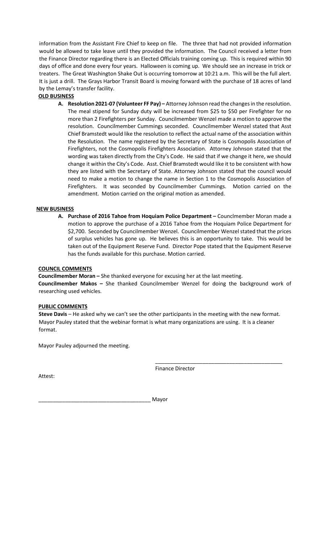information from the Assistant Fire Chief to keep on file. The three that had not provided information would be allowed to take leave until they provided the information. The Council received a letter from the Finance Director regarding there is an Elected Officials training coming up. This is required within 90 days of office and done every four years. Halloween is coming up. We should see an increase in trick or treaters. The Great Washington Shake Out is occurring tomorrow at 10:21 a.m. This will be the full alert. It is just a drill. The Grays Harbor Transit Board is moving forward with the purchase of 18 acres of land by the Lemay's transfer facility.

## **OLD BUSINESS**

**A. Resolution 2021-07 (Volunteer FF Pay) –** Attorney Johnson read the changes in the resolution. The meal stipend for Sunday duty will be increased from \$25 to \$50 per Firefighter for no more than 2 Firefighters per Sunday. Councilmember Wenzel made a motion to approve the resolution. Councilmember Cummings seconded. Councilmember Wenzel stated that Asst Chief Bramstedt would like the resolution to reflect the actual name of the association within the Resolution. The name registered by the Secretary of State is Cosmopolis Association of Firefighters, not the Cosmopolis Firefighters Association. Attorney Johnson stated that the wording was taken directly from the City's Code. He said that if we change it here, we should change it within the City's Code. Asst. Chief Bramstedt would like it to be consistent with how they are listed with the Secretary of State. Attorney Johnson stated that the council would need to make a motion to change the name in Section 1 to the Cosmopolis Association of Firefighters. It was seconded by Councilmember Cummings. Motion carried on the amendment. Motion carried on the original motion as amended.

### **NEW BUSINESS**

**A. Purchase of 2016 Tahoe from Hoquiam Police Department –** Counclmember Moran made a motion to approve the purchase of a 2016 Tahoe from the Hoquiam Police Department for \$2,700. Seconded by Councilmember Wenzel. Councilmember Wenzel stated that the prices of surplus vehicles has gone up. He believes this is an opportunity to take. This would be taken out of the Equipment Reserve Fund. Director Pope stated that the Equipment Reserve has the funds available for this purchase. Motion carried.

### **COUNCIL COMMENTS**

**Councilmember Moran –** She thanked everyone for excusing her at the last meeting. **Councilmember Makos –** She thanked Councilmember Wenzel for doing the background work of researching used vehicles.

### **PUBLIC COMMENTS**

**Steve Davis** – He asked why we can't see the other participants in the meeting with the new format. Mayor Pauley stated that the webinar format is what many organizations are using. It is a cleaner format.

Mayor Pauley adjourned the meeting.

Attest:

Finance Director

\_\_\_\_\_\_\_\_\_\_\_\_\_\_\_\_\_\_\_\_\_\_\_\_\_\_\_\_\_\_\_\_\_\_\_\_\_\_\_\_\_\_\_

\_\_\_\_\_\_\_\_\_\_\_\_\_\_\_\_\_\_\_\_\_\_\_\_\_\_\_\_\_\_\_\_\_\_\_\_\_\_ Mayor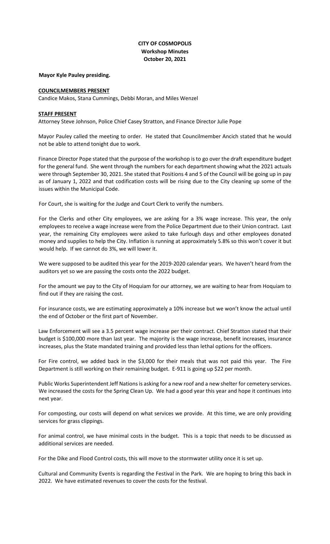## **CITY OF COSMOPOLIS Workshop Minutes October 20, 2021**

#### **Mayor Kyle Pauley presiding.**

#### **COUNCILMEMBERS PRESENT**

Candice Makos, Stana Cummings, Debbi Moran, and Miles Wenzel

#### **STAFF PRESENT**

Attorney Steve Johnson, Police Chief Casey Stratton, and Finance Director Julie Pope

Mayor Pauley called the meeting to order. He stated that Councilmember Ancich stated that he would not be able to attend tonight due to work.

Finance Director Pope stated that the purpose of the workshop is to go over the draft expenditure budget for the general fund. She went through the numbers for each department showing what the 2021 actuals were through September 30, 2021. She stated that Positions 4 and 5 of the Council will be going up in pay as of January 1, 2022 and that codification costs will be rising due to the City cleaning up some of the issues within the Municipal Code.

For Court, she is waiting for the Judge and Court Clerk to verify the numbers.

For the Clerks and other City employees, we are asking for a 3% wage increase. This year, the only employees to receive a wage increase were from the Police Department due to their Union contract. Last year, the remaining City employees were asked to take furlough days and other employees donated money and supplies to help the City. Inflation is running at approximately 5.8% so this won't cover it but would help. If we cannot do 3%, we will lower it.

We were supposed to be audited this year for the 2019-2020 calendar years. We haven't heard from the auditors yet so we are passing the costs onto the 2022 budget.

For the amount we pay to the City of Hoquiam for our attorney, we are waiting to hear from Hoquiam to find out if they are raising the cost.

For insurance costs, we are estimating approximately a 10% increase but we won't know the actual until the end of October or the first part of November.

Law Enforcement will see a 3.5 percent wage increase per their contract. Chief Stratton stated that their budget is \$100,000 more than last year. The majority is the wage increase, benefit increases, insurance increases, plus the State mandated training and provided less than lethal options for the officers.

For Fire control, we added back in the \$3,000 for their meals that was not paid this year. The Fire Department is still working on their remaining budget. E-911 is going up \$22 per month.

Public Works Superintendent Jeff Nations is asking for a new roof and a new shelter for cemetery services. We increased the costs for the Spring Clean Up. We had a good year this year and hope it continues into next year.

For composting, our costs will depend on what services we provide. At this time, we are only providing services for grass clippings.

For animal control, we have minimal costs in the budget. This is a topic that needs to be discussed as additional services are needed.

For the Dike and Flood Control costs, this will move to the stormwater utility once it is set up.

Cultural and Community Events is regarding the Festival in the Park. We are hoping to bring this back in 2022. We have estimated revenues to cover the costs for the festival.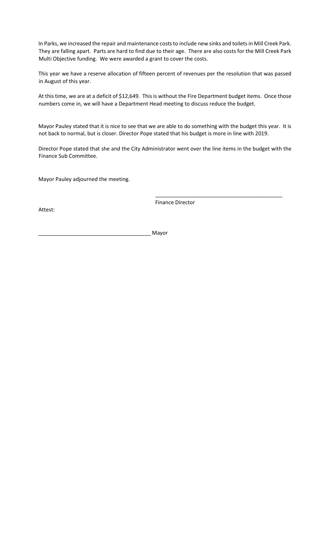In Parks, we increased the repair and maintenance costs to include new sinks and toilets in Mill Creek Park. They are falling apart. Parts are hard to find due to their age. There are also costs for the Mill Creek Park Multi Objective funding. We were awarded a grant to cover the costs.

This year we have a reserve allocation of fifteen percent of revenues per the resolution that was passed in August of this year.

At this time, we are at a deficit of \$12,649. This is without the Fire Department budget items. Once those numbers come in, we will have a Department Head meeting to discuss reduce the budget.

Mayor Pauley stated that it is nice to see that we are able to do something with the budget this year. It is not back to normal, but is closer. Director Pope stated that his budget is more in line with 2019.

Director Pope stated that she and the City Administrator went over the line items in the budget with the Finance Sub Committee.

Mayor Pauley adjourned the meeting.

Attest:

Finance Director

\_\_\_\_\_\_\_\_\_\_\_\_\_\_\_\_\_\_\_\_\_\_\_\_\_\_\_\_\_\_\_\_\_\_\_\_\_\_\_\_\_\_\_

\_\_\_\_\_\_\_\_\_\_\_\_\_\_\_\_\_\_\_\_\_\_\_\_\_\_\_\_\_\_\_\_\_\_\_\_\_\_ Mayor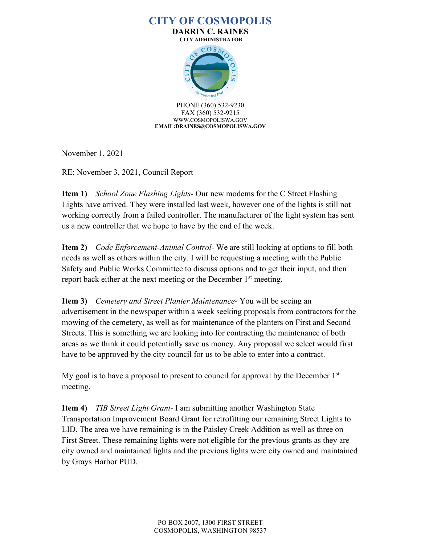# **CITY OF COSMOPOLIS**

**DARRIN C. RAINES CITY ADMINISTRATOR**



PHONE (360) 532-9230 FAX (360) 532-9215 WWW.COSMOPOLISWA.GOV **EMAIL:DRAINES@COSMOPOLISWA.GOV**

November 1, 2021

RE: November 3, 2021, Council Report

**Item 1)** *School Zone Flashing Lights-* Our new modems for the C Street Flashing Lights have arrived. They were installed last week, however one of the lights is still not working correctly from a failed controller. The manufacturer of the light system has sent us a new controller that we hope to have by the end of the week.

**Item 2)** *Code Enforcement-Animal Control-* We are still looking at options to fill both needs as well as others within the city. I will be requesting a meeting with the Public Safety and Public Works Committee to discuss options and to get their input, and then report back either at the next meeting or the December  $1<sup>st</sup>$  meeting.

**Item 3)** *Cemetery and Street Planter Maintenance-* You will be seeing an advertisement in the newspaper within a week seeking proposals from contractors for the mowing of the cemetery, as well as for maintenance of the planters on First and Second Streets. This is something we are looking into for contracting the maintenance of both areas as we think it could potentially save us money. Any proposal we select would first have to be approved by the city council for us to be able to enter into a contract.

My goal is to have a proposal to present to council for approval by the December  $1<sup>st</sup>$ meeting.

**Item 4)** *TIB Street Light Grant-* I am submitting another Washington State Transportation Improvement Board Grant for retrofitting our remaining Street Lights to LID. The area we have remaining is in the Paisley Creek Addition as well as three on First Street. These remaining lights were not eligible for the previous grants as they are city owned and maintained lights and the previous lights were city owned and maintained by Grays Harbor PUD.